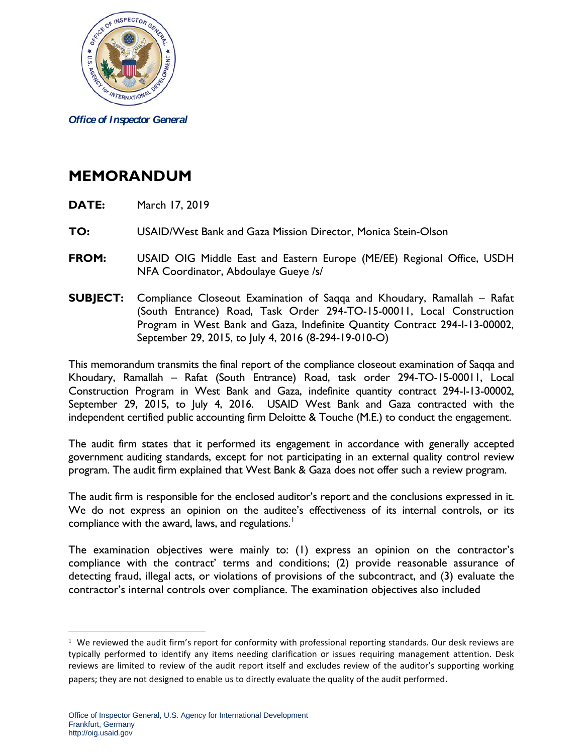

*Office of Inspector General*

## **MEMORANDUM**

- **DATE:** March 17, 2019
- **TO:** USAID/West Bank and Gaza Mission Director, Monica Stein-Olson
- **FROM:** USAID OIG Middle East and Eastern Europe (ME/EE) Regional Office, USDH NFA Coordinator, Abdoulaye Gueye /s/
- **SUBJECT:** Compliance Closeout Examination of Saqqa and Khoudary, Ramallah Rafat (South Entrance) Road, Task Order 294-TO-15-00011, Local Construction Program in West Bank and Gaza, Indefinite Quantity Contract 294-I-13-00002, September 29, 2015, to July 4, 2016 (8-294-19-010-O)

This memorandum transmits the final report of the compliance closeout examination of Saqqa and Khoudary, Ramallah – Rafat (South Entrance) Road, task order 294-TO-15-00011, Local Construction Program in West Bank and Gaza, indefinite quantity contract 294-I-13-00002, September 29, 2015, to July 4, 2016. USAID West Bank and Gaza contracted with the independent certified public accounting firm Deloitte & Touche (M.E.) to conduct the engagement.

The audit firm states that it performed its engagement in accordance with generally accepted government auditing standards, except for not participating in an external quality control review program. The audit firm explained that West Bank & Gaza does not offer such a review program.

The audit firm is responsible for the enclosed auditor's report and the conclusions expressed in it. We do not express an opinion on the auditee's effectiveness of its internal controls, or its compliance with the award, laws, and regulations.<sup>[1](#page-0-0)</sup>

The examination objectives were mainly to: (1) express an opinion on the contractor's compliance with the contract' terms and conditions; (2) provide reasonable assurance of detecting fraud, illegal acts, or violations of provisions of the subcontract, and (3) evaluate the contractor's internal controls over compliance. The examination objectives also included

 $\overline{a}$ 

<span id="page-0-0"></span> $1$  We reviewed the audit firm's report for conformity with professional reporting standards. Our desk reviews are typically performed to identify any items needing clarification or issues requiring management attention. Desk reviews are limited to review of the audit report itself and excludes review of the auditor's supporting working papers; they are not designed to enable us to directly evaluate the quality of the audit performed.